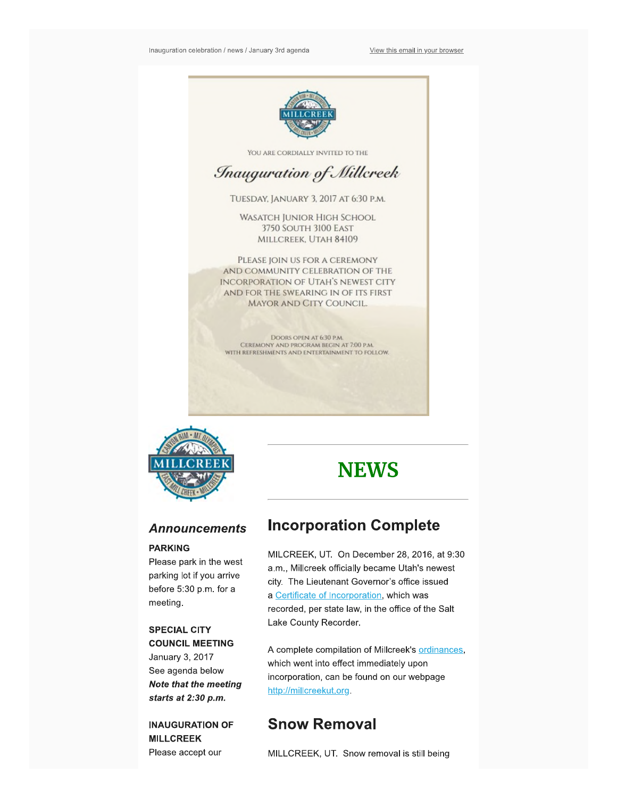

YOU ARE CORDIALLY INVITED TO THE

## *<u>Inauguration</u> of Millcreek*

TUESDAY. JANUARY 3.2017 AT 6:30 P.M.

WASATCH JUNIOR HIGH SCHOOL 3750 SOUTH 3100 EAST MILLCREEK, UTAH **84109** 

PLEASE JOIN US FOR A CEREMONY AND COMMUNITY CELEBRATION OF THE INCORPORATION OF UTAH'S NEWEST CITY AND FOR THE SWEARING IN OF ITS FIRST MAYOR AND CITY COUNCIL,

DOORS OPEN AT 630 P.M\_ CEREMONY AND PROGRAM BEGIN AT 7:00 P.M. WITH REFRESHMENTS AND ENTERTAINMENT TO FOLLOW.



### **Announcements**

#### **PARKING**

**Please park in the west parking lot if you arrive before 5:30 p.m. for a meeting.** 

#### **SPECIAL CITY COUNCIL MEETING**

**January 3, 2017 See agenda below Note that the meeting starts at 2:30 p.m.** 

**INAUGURATION OF MILLCREEK Please accept our** 

# **NEWS**

## **Incorporation Complete**

MILCREEK, **UT. On December 28, 2016, at 9:30 a.m., Millcreek officially became Utah's newest city. The Lieutenant Governor's office issued a** [Z;arilficate of incorporation,](https://millcreekut.files.wordpress.com/2016/12/certificate-of-incorporation-of-millcreek.pdf) **which was recorded, per state law, in the office of the Salt Lake County Recorder.** 

A complete compilation of Millcreek's **ordinances**, **which went into effect immediately upon incorporation, can be found on our webpage**  http://millcreekut.org

## **Snow Removal**

MILLCREEK, **UT. Snow removal is still being**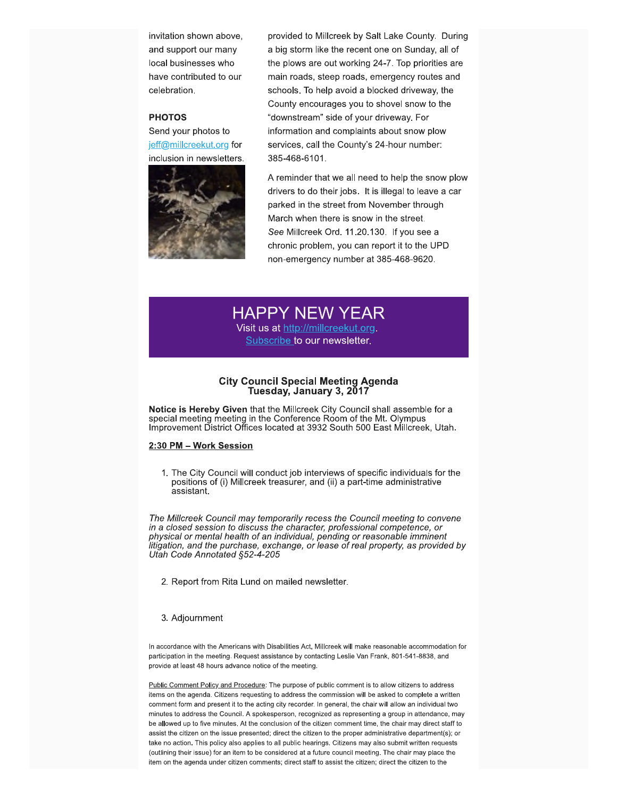**inclusion in newsletters. 385-488-6101\_** 



**invitation shown above, exampled to Millcreek by Salt Lake County. During and support our many a big storm like the recent one on Sunday, all of local businesses who the plows are out working 24-7\_ Top priorities are have contributed to our main roads, steep roads, emergency routes and celebration. schools** To help avoid a blocked driveway, the **County encourages you to shovel snow to the PHOTOS but a state of your driveway. For a state of your driveway. For Send your photos to information and complaints about snow plow**  jeff@millcreekut.org for services, call the County's 24-hour number:

> **A reminder that we all need to help the snow plow drivers to do their jobs. It is illegal to leave a car**  parked in the street from November through **March when there is snow in the street See Milcreek Ord. 11.20.130. If you see a chronic problem, you can report it to the UPD non-emergency number at 385-468-9620\_**

## **HAPPY NEW YEAR**

Visit us at http://millcreekut.org. **Subscribe to our newsletter.** 

#### **City Council Special Meeting Agenda Tuesday, January 3, 2017**

**Notice Is Hereby Given that the Millcreek City Council shall assemble for a**  special meeting meeting in the Conference Room of the Mt. Olympus **Improvement District Offices located at 3932 South 500 East Millcreek, Utah.** 

#### **2:30 PM -Work Session**

**1. The City Council will conduct job interviews of specific individuals for the positions of (i) Millcreek treasurer, and (ii) a part-time administrative assistant.** 

**The MffIcreek Council may temporarily recess the Council meeting to convene in a dosed session to discuss the character, professional competence, or physical or mental health of an individual, pending or reasonable imminent litigation, and the purchase, exchange, or lease of real property, as provided by Utah Code Annotated §52-4-205** 

**2. Report from Rita Lund on mailed newsletter\_** 

#### **3. Adjournment**

In accordance with the Americans with Disabilities Act, Millcreek will make reasonable accommodation for participation in the meeting. Request assistance by contacting Leslie Van Frank, 801-541-8838, and **provide at least 48 hours advance notice of the meeting.** 

Public Comment Policy and Procedure: The purpose of public comment is to allow citizens to address items on the agenda. Citizens requesting to address the commission will be asked to complete a written comment form and present it to the acting city recorder. In general, the chair will allow an individual two minutes to address the Council. A spokesperson, recognized as representing a group in attendance, may be allowed up to five minutes. At the conclusion of the citizen comment time, the chair may direct staff to **essiatthe citizen on the issue presented; direct the citizen to the proper administrative depertment(s); or**  take no action. This policy also applies to all public hearings. Citizens may also submit written requests (outlining their issue) for an item to be considered at a future council meeting. The chair may place the item on the agenda under citizen comments; direct staff to assist the citizen; direct the citizen to the